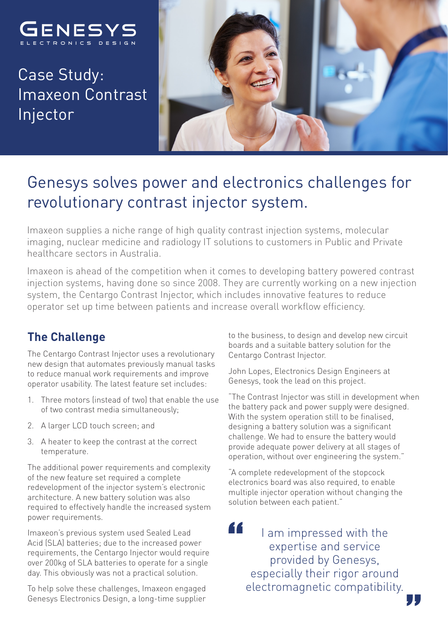

Case Study: Imaxeon Contrast Injector



# Genesys solves power and electronics challenges for revolutionary contrast injector system.

Imaxeon supplies a niche range of high quality contrast injection systems, molecular imaging, nuclear medicine and radiology IT solutions to customers in Public and Private healthcare sectors in Australia.

Imaxeon is ahead of the competition when it comes to developing battery powered contrast injection systems, having done so since 2008. They are currently working on a new injection system, the Centargo Contrast Injector, which includes innovative features to reduce operator set up time between patients and increase overall workflow efficiency.

# **The Challenge**

The Centargo Contrast Injector uses a revolutionary new design that automates previously manual tasks to reduce manual work requirements and improve operator usability. The latest feature set includes:

- 1. Three motors (instead of two) that enable the use of two contrast media simultaneously;
- 2. A larger LCD touch screen; and
- 3. A heater to keep the contrast at the correct temperature.

The additional power requirements and complexity of the new feature set required a complete redevelopment of the injector system's electronic architecture. A new battery solution was also required to effectively handle the increased system power requirements.

Imaxeon's previous system used Sealed Lead Acid (SLA) batteries; due to the increased power requirements, the Centargo Injector would require over 200kg of SLA batteries to operate for a single day. This obviously was not a practical solution.

To help solve these challenges, Imaxeon engaged Genesys Electronics Design, a long-time supplier to the business, to design and develop new circuit boards and a suitable battery solution for the Centargo Contrast Injector.

John Lopes, Electronics Design Engineers at Genesys, took the lead on this project.

"The Contrast Injector was still in development when the battery pack and power supply were designed. With the system operation still to be finalised, designing a battery solution was a significant challenge. We had to ensure the battery would provide adequate power delivery at all stages of operation, without over engineering the system."

"A complete redevelopment of the stopcock electronics board was also required, to enable multiple injector operation without changing the solution between each patient."

I am impressed with the expertise and service provided by Genesys, especially their rigor around electromagnetic compatibility.